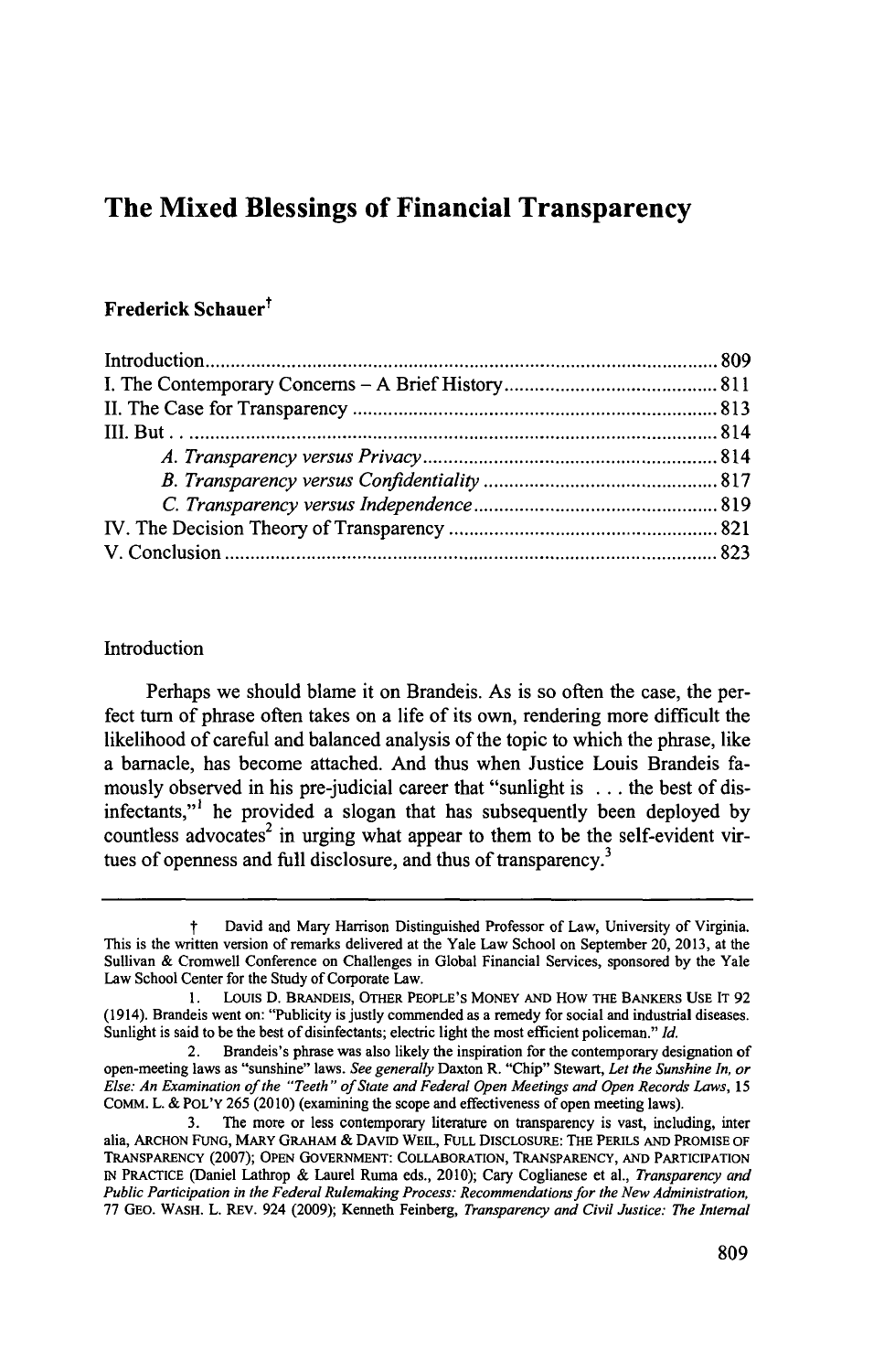# **The Mixed Blessings of Financial Transparency**

# Frederick Schauer<sup>†</sup>

## Introduction

Perhaps we should blame it on Brandeis. As is so often the case, the perfect turn of phrase often takes on a life of its own, rendering more difficult the likelihood of careful and balanced analysis of the topic to which the phrase, like a barnacle, has become attached. And thus when Justice Louis Brandeis famously observed in his pre-judicial career that "sunlight is **.** . **.** the best of disinfectants,"' he provided a slogan that has subsequently been deployed **by** countless advocates<sup>2</sup> in urging what appear to them to be the self-evident virtues of openness and full disclosure, and thus of transparency.<sup>3</sup>

t David and Mary Harrison Distinguished Professor of Law, University of Virginia. This is the written version of remarks delivered at the Yale Law School on September 20, **2013,** at the Sullivan **&** Cromwell Conference on Challenges in Global Financial Services, sponsored **by** the Yale Law School Center for the Study of Corporate Law.

**<sup>1.</sup> Louis D. BRANDEIS,** OTHER **PEOPLE'S** MONEY **AND HOW THE** BANKERS **USE** IT **92** (1914). Brandeis went on: "Publicity is justly commended as a remedy for social and industrial diseases. Sunlight is said to be the best of disinfectants; electric light the most efficient policeman." *Id.*

<sup>2.</sup> Brandeis's phrase was also likely the inspiration for the contemporary designation of open-meeting laws as "sunshine" laws. *See generally* Daxton R. "Chip" Stewart, *Let the Sunshine In, or Else: An Examination of the "Teeth" of State and Federal Open Meetings and Open Records Laws, 15* COMM. L. **&** POL'Y **265 (2010)** (examining the scope and effectiveness of open meeting laws).

**<sup>3.</sup>** The more or less contemporary literature on transparency is vast, including, inter alia, ARCHON **FUNG,** MARY GRAHAM **&** DAvID **WEIL, FULL DISCLOSURE:** THE PERILS **AND PROMISE OF** TRANSPARENCY **(2007); OPEN** GOVERNMENT: COLLABORATION, TRANSPARENCY, **AND** PARTICIPATION **IN** PRACTICE (Daniel Lathrop **&** Laurel Ruma eds., 2010); Cary Coglianese et al., *Transparency and Public Participation in the Federal Rulemaking Process: Recommendations for the New Administration,* **77 GEO.** WASH. L. REv. 924 **(2009);** Kenneth **Feinberg,** *Transparency and Civil Justice: The Internal*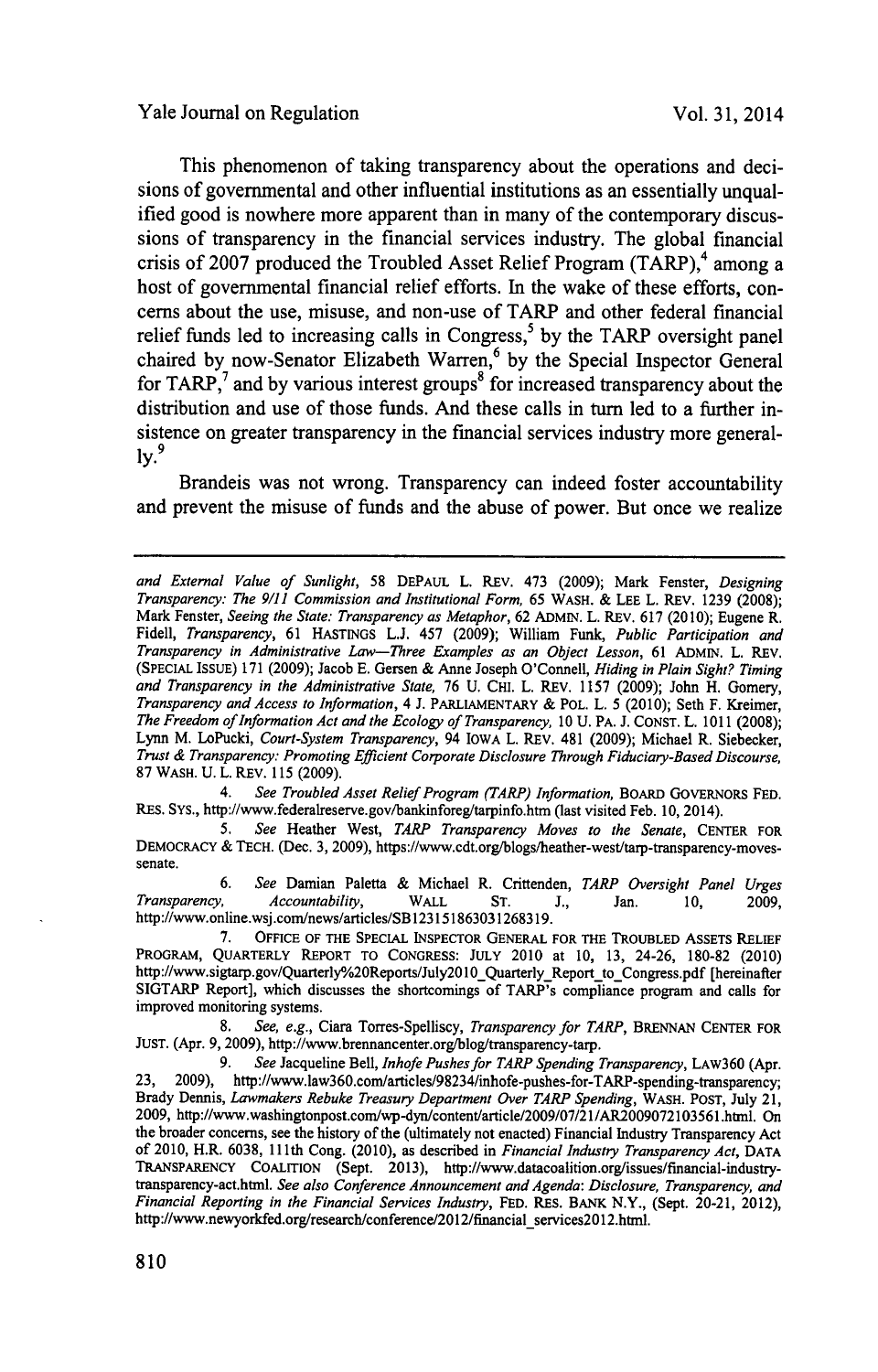This phenomenon of taking transparency about the operations and decisions of governmental and other influential institutions as an essentially unqualified good is nowhere more apparent than in many of the contemporary discussions of transparency in the financial services industry. The global financial crisis of 2007 produced the Troubled Asset Relief Program (TARP),<sup>4</sup> among a host of governmental financial relief efforts. In the wake of these efforts, concerns about the use, misuse, and non-use of TARP and other federal financial relief funds led to increasing calls in Congress,<sup>5</sup> by the TARP oversight panel chaired by now-Senator Elizabeth Warren,<sup>6</sup> by the Special Inspector General for TARP,<sup>7</sup> and by various interest groups<sup>8</sup> for increased transparency about the distribution and use of those funds. And these calls in turn led to a further insistence on greater transparency in the financial services industry more general**ly.<sup>9</sup>**

Brandeis was not wrong. Transparency can indeed foster accountability and prevent the misuse of funds and the abuse of power. But once we realize

*4. See Troubled Asset Relief Program (TARP) Information,* BOARD GOVERNORS **FED.** RES. Sys., http://www.federalreserve.gov/bankinforeg/tarpinfo.htm (last visited Feb. **10,** 2014).

*5. See* Heather West, *TARP Transparency Moves to the Senate,* **CENTER** FOR DEMOCRACY **& TECH.** (Dec. **3, 2009),** https://www.cdt.org/blogs/heather-west/tarp-transparency-movessenate.

**6.** *See* Damian Paletta **&** Michael R. Crittenden, *TARP Oversight Panel Urges Accountability*, WALL ST. J., Jan. 10, 2009, http://www.online.wsj.com/news/articles/SB123151863031268319.

**7.** OFFICE OF THE **SPECIAL** INSPECTOR **GENERAL** FOR THE TROUBLED ASSETS RELIEF PROGRAM, QUARTERLY REPORT TO **CONGRESS: JULY** 2010 at **10, 13,** 24-26, **180-82** (2010) http://www.sigtarp.gov/Quarterly%20Reports/July2010\_Quarterly\_Report\_to\_Congress.pdf [hereinafter SIGTARP Report], which discusses the shortcomings of TARP's compliance program and calls for improved monitoring systems.

**8.** *See, e.g.,* Ciara Torres-Spelliscy, *Transparency for TARP,* **BRENNAN CENTER** FOR JUST. (Apr. 9, 2009), http://www.brennancenter.org/blog/transparency-tarp.

**9.** *See* Jacqueline Bell, *Inhofe Pushes for TARP Spending Transparency,* LAw360 (Apr. **23, 2009),** http://www.law360.com/articles/98234/inhofe-pushes-for-TARP-spending-transparency; Brady Dennis, *Lawmakers Rebuke Treasury Department Over TARP Spending,* WASH. **POST,** July **21, 2009,** http://www.washingtonpost.com/wp-dyn/content/article/2009/07/21/AR2009072103561.htnl. On the broader concerns, see the history of the (ultimately not enacted) Financial Industry Transparency Act of 2010, H.R. **6038, 111th** Cong. (2010), as described in *Financial Industry Transparency Act,* **DATA** TRANSPARENCY **COALITION** (Sept. **2013),** http://www.datacoalition.org/issues/financial-industrytransparency-act.html. *See also Conference Announcement and Agenda: Disclosure, Transparency, and Financial Reporting in the Financial Services Industry,* **FED.** RES. BANK N.Y., (Sept. 20-21, 2012), http://www.newyorkfed.org/research/conference/2012/financial\_services2012.html.

*and External Value of Sunlight,* **58 DEPAUL** L. REv. 473 **(2009);** Mark Fenster, *Designing Transparency: The 9/11 Commission and Institutional Form, 65* WASH. **& LEE** L. REV. **1239 (2008);** Mark Fenster, *Seeing the State: Transparency as Metaphor,* **62** ADMIN. L. REv. **617** (2010); Eugene R. *Fidell, Transparency,* **61** HASTINGS **L.J.** *457* **(2009);** William Funk, *Public Participation and Transparency in Administrative Law-Three Examples as an Object Lesson, 61* ADMIN. L. REV. (SPECIAL ISSUE) **171 (2009);** Jacob **E.** Gersen **&** Anne Joseph O'Connell, *Hiding in Plain Sight? Timing* Transparency and Access to Information, 4 J. PARLIAMENTARY & POL. L. 5 (2010); Seth F. Kreimer, *The Freedom ofInformation Act and the Ecology of Transparency, 10* **U.** PA. **J. CONST.** L. **1011 (2008);** Lynn M. LoPucki, *Court-System Transparency,* 94 IOWA L. REv. 481 **(2009);** Michael R. Siebecker, *Trust & Transparency: Promoting Efficient Corporate Disclosure Through Fiduciary-Based Discourse,* **87** WASH. **U.** L. REV. **115 (2009).**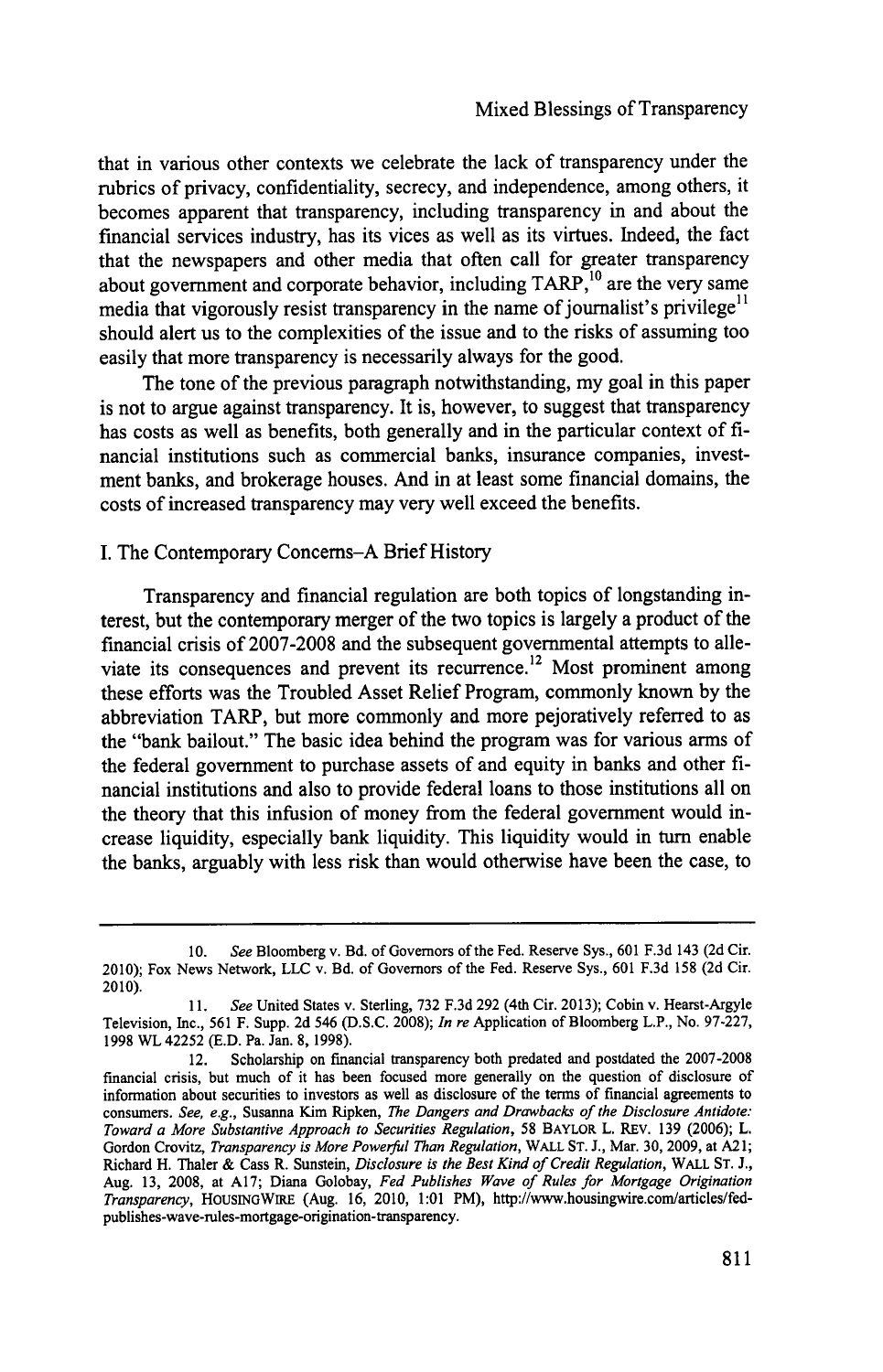that in various other contexts we celebrate the lack of transparency under the rubrics of privacy, confidentiality, secrecy, and independence, among others, it becomes apparent that transparency, including transparency in and about the financial services industry, has its vices as well as its virtues. Indeed, the fact that the newspapers and other media that often call for greater transparency about government and corporate behavior, including  $TARP<sub>10</sub><sup>10</sup>$  are the very same media that vigorously resist transparency in the name of journalist's privilege<sup>11</sup> should alert us to the complexities of the issue and to the risks of assuming too easily that more transparency is necessarily always for the good.

The tone of the previous paragraph notwithstanding, my goal in this paper is not to argue against transparency. It is, however, to suggest that transparency has costs as well as benefits, both generally and in the particular context of **fi**nancial institutions such as commercial banks, insurance companies, investment banks, and brokerage houses. And in at least some financial domains, the costs of increased transparency may very well exceed the benefits.

### **I.** The Contemporary Concems-A Brief History

Transparency and financial regulation are both topics of longstanding interest, but the contemporary merger of the two topics is largely a product of the financial crisis of **2007-2008** and the subsequent governmental attempts to alleviate its consequences and prevent its recurrence.<sup>12</sup> Most prominent among these efforts was the Troubled Asset Relief Program, commonly known **by** the abbreviation TARP, but more commonly and more pejoratively referred to as the "bank bailout." The basic idea behind the program was for various arms of the federal government to purchase assets of and equity in banks and other **fi**nancial institutions and also to provide federal loans to those institutions all on the theory that this infusion of money from the federal government would increase liquidity, especially bank liquidity. This liquidity would in turn enable the banks, arguably with less risk than would otherwise have been the case, to

**<sup>10.</sup>** *See* Bloomberg v. Bd. of Governors of the Fed. Reserve Sys., **601 F.3d** 143 **(2d** Cir. 2010); Fox News Network, **LLC** v. Bd. of Governors of the Fed. Reserve Sys., **601 F.3d 158 (2d** Cir. 2010).

**<sup>11.</sup>** *See* United States v. Sterling, **732 F.3d 292** (4th Cir. **2013);** Cobin v. Hearst-Argyle Television, Inc., **561** F. Supp. **2d** 546 **(D.S.C. 2008);** *In re* Application of Bloomberg L.P., No. **97-227, 1998** WL 42252 **(E.D.** Pa. Jan. **8, 1998).**

<sup>12.</sup> Scholarship on financial transparency both predated and postdated the **2007-2008** financial crisis, but much of it has been focused more generally on the question of disclosure of information about securities to investors as well as disclosure of the terms of financial agreements to consumers. *See, e.g.,* Susanna Kim Ripken, *The Dangers and Drawbacks of the Disclosure Antidote: Toward a More Substantive Approach to Securities Regulation,* **58** BAYLOR L. REv. **139 (2006);** L. Gordon Crovitz, *Transparency is More Powerful Than Regulation,* WALL **ST. J.,** Mar. **30, 2009,** at **A21;** Richard H. Thaler **&** Cass R. Sunstein, *Disclosure is the Best Kind of Credit Regulation,* WALL **ST. J.,** Aug. **13, 2008,** at **A17;** Diana Golobay, *Fed Publishes Wave of Rules for Mortgage Origination Transparency,* HOUSINGWIRE (Aug. **16,** 2010, **1:01** PM), http://www.housingwire.com/articles/fedpublishes-wave-rules-mortgage-origination-transparency.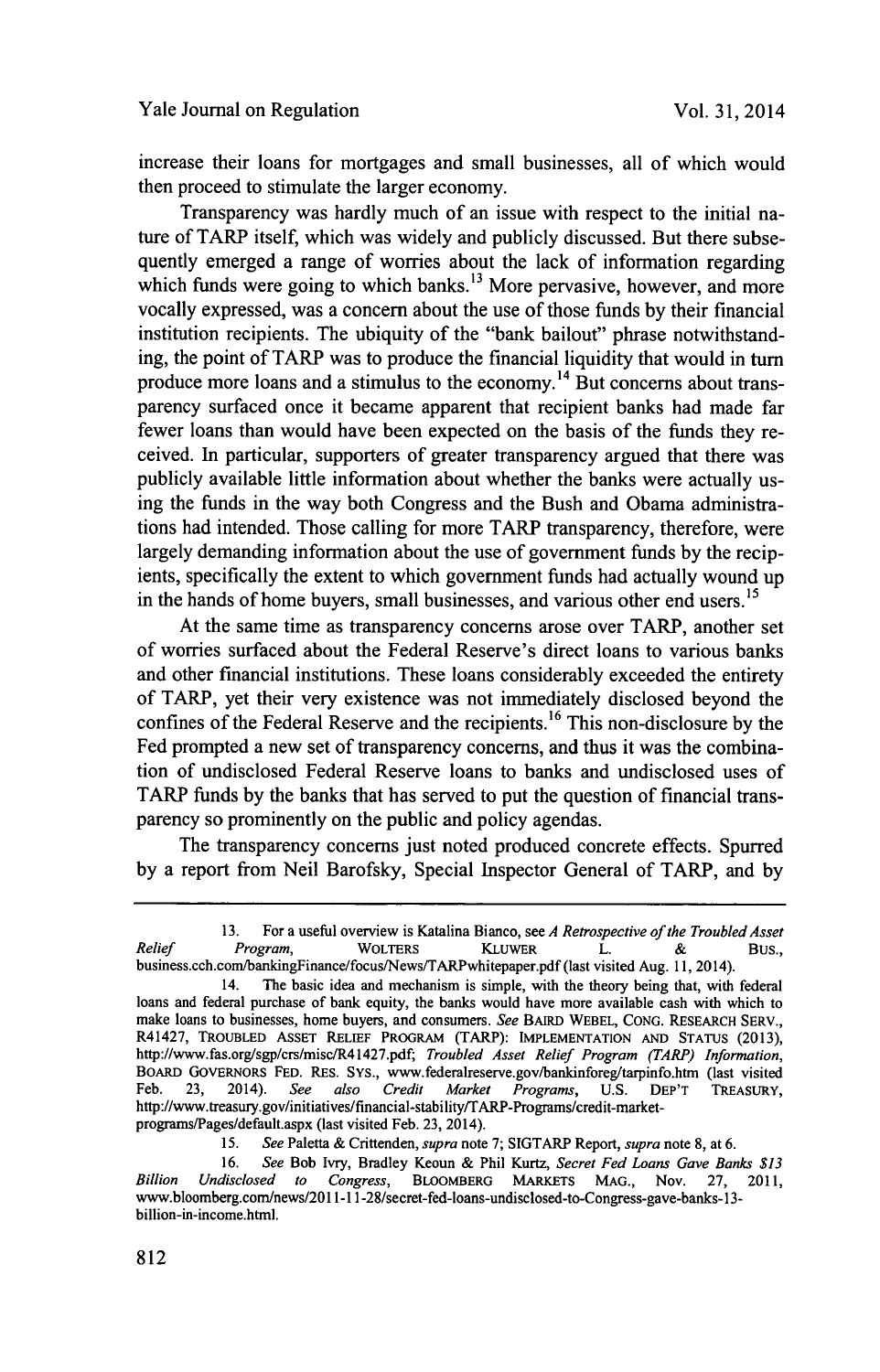increase their loans for mortgages and small businesses, all of which would then proceed to stimulate the larger economy.

Transparency was hardly much of an issue with respect to the initial nature of TARP itself, which was widely and publicly discussed. But there subsequently emerged a range of worries about the lack of information regarding which funds were going to which banks.<sup>13</sup> More pervasive, however, and more vocally expressed, was a concern about the use of those funds **by** their financial institution recipients. The ubiquity of the "bank bailout" phrase notwithstanding, the point of TARP was to produce the financial liquidity that would in turn produce more loans and a stimulus to the economy.14 But concerns about transparency surfaced once it became apparent that recipient banks had made far fewer loans than would have been expected on the basis of the funds they received. In particular, supporters of greater transparency argued that there was publicly available little information about whether the banks were actually using the funds in the way both Congress and the Bush and Obama administrations had intended. Those calling for more TARP transparency, therefore, were largely demanding information about the use of government funds **by** the recipients, specifically the extent to which government funds had actually wound up in the hands of home buyers, small businesses, and various other end users.<sup>15</sup>

At the same time as transparency concerns arose over TARP, another set of worries surfaced about the Federal Reserve's direct loans to various banks and other financial institutions. These loans considerably exceeded the entirety of TARP, yet their very existence was not immediately disclosed beyond the confines of the Federal Reserve and the recipients.<sup>16</sup> This non-disclosure by the Fed prompted a new set of transparency concerns, and thus it was the combination of undisclosed Federal Reserve loans to banks and undisclosed uses of TARP funds **by** the banks that has served to put the question of financial transparency so prominently on the public and policy agendas.

The transparency concerns just noted produced concrete effects. Spurred **by** a report from Neil Barofsky, Special Inspector General of **TARP,** and **by**

**<sup>13.</sup>** For a useful overview is Katalina Bianco, see *A Retrospective of the Troubled Asset Relief Program,* **WOLTERS KLUWER** L. **&** Bus., business.cch.com/bankingFinance/focus/News/TARPwhitepaper.pdf (last visited Aug. **11,** 2014).

<sup>14.</sup> The basic idea and mechanism is simple, with the theory being that, with federal loans and federal purchase of bank equity, the banks would have more available cash with which to make loans to businesses, home buyers, and consumers. *See* **BAIRD WEBEL, CONG. RESEARCH SERV.,** R41427, **TROUBLED ASSET RELIEF PROGRAM** (TARP): **IMPLEMENTATION AND STATUS (2013),** http://www.fas.org/sgp/crs/misc/R41427.pdf; *Troubled Asset Relief Program (TARP) Information,* **BOARD GOVERNORS FED.** RES. **Sys.,** www.federalreserve.gov/bankinforeg/tarpinfo.htm (last visited Feb. **23,** 2014). *See also Credit Market Programs,* **U.S. DEP'T TREASURY,** http://www.treasury.gov/initiatives/financial-stability/TARP-Programs/credit-marketprograms/Pages/default.aspx (last visited Feb. **23,** 2014).

**<sup>15.</sup>** *See* Paletta **&** Crittenden, *supra* note **7;** SIGTARP Report, *supra* note **8,** at **6.**

**<sup>16.</sup>** *See* Bob Ivry, Bradley Keoun **&** Phil Kurtz, *Secret Fed Loans Gave Banks \$13 Billion Undisclosed to Congress,* **BLOOMBERG MARKETS MAG.,** Nov. **27,** 2011, www.bloomberg.com/news/2011-11-28/secret-fed-loans-undisclosed-to-Congress-gave-banks-13 billion-in-income.html.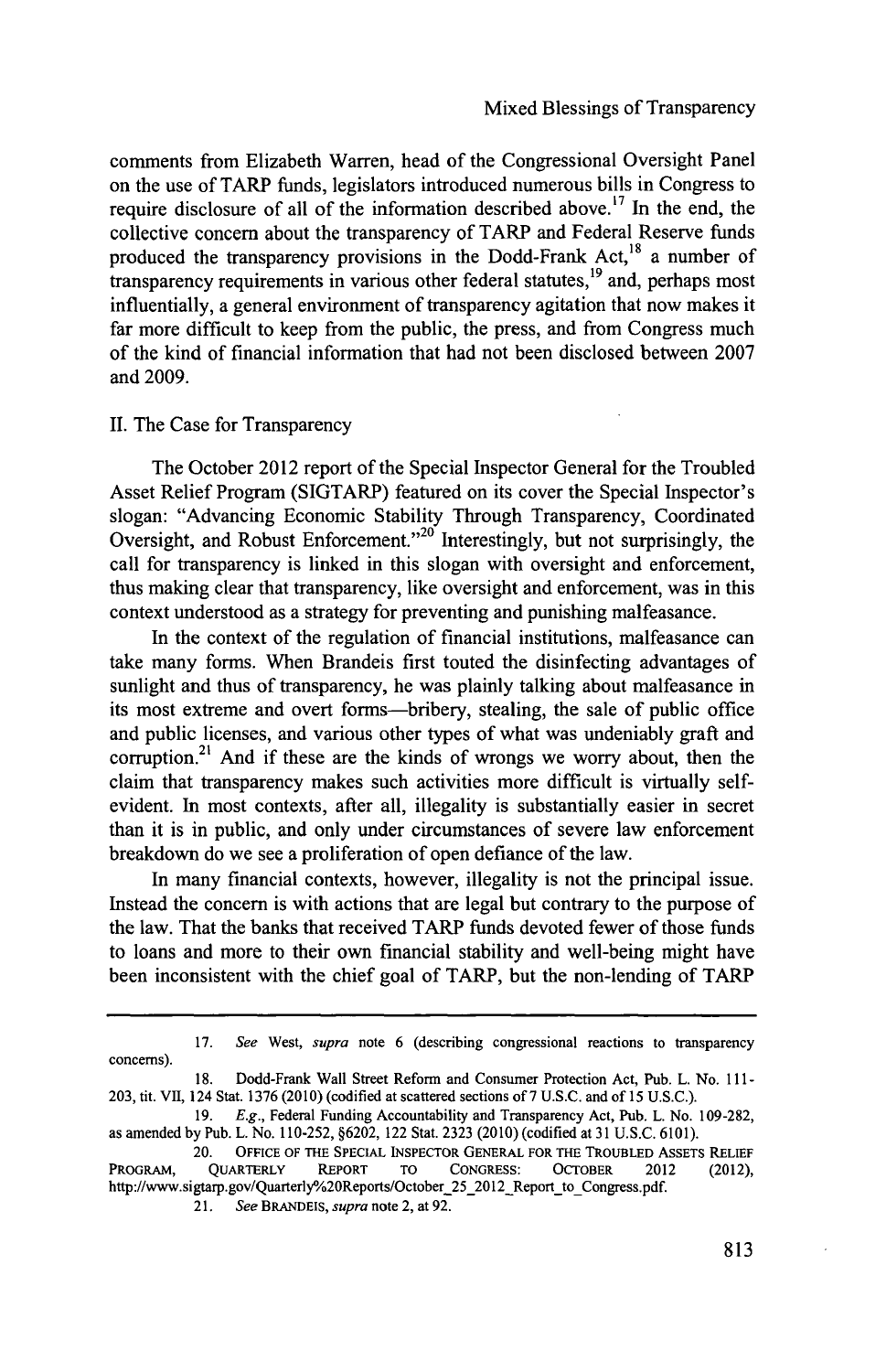comments from Elizabeth Warren, head of the Congressional Oversight Panel on the use of TARP funds, legislators introduced numerous bills in Congress to require disclosure of all of the information described above.17 In the end, the collective concern about the transparency of TARP and Federal Reserve funds produced the transparency provisions in the Dodd-Frank Act, $^{18}$  a number of transparency requirements in various other federal statutes, $19$  and, perhaps most influentially, a general environment of transparency agitation that now makes it far more difficult to keep from the public, the press, and from Congress much of the kind of financial information that had not been disclosed between **2007** and **2009.**

#### **II.** The Case for Transparency

The October 2012 report of the Special Inspector General for the Troubled Asset Relief Program (SIGTARP) featured on its cover the Special Inspector's slogan: "Advancing Economic Stability Through Transparency, Coordinated Oversight, and Robust Enforcement."<sup>20</sup> Interestingly, but not surprisingly, the call for transparency is linked in this slogan with oversight and enforcement, thus making clear that transparency, like oversight and enforcement, was in this context understood as a strategy for preventing and punishing malfeasance.

In the context of the regulation of financial institutions, malfeasance can take many forms. When Brandeis first touted the disinfecting advantages of sunlight and thus of transparency, he was plainly talking about malfeasance in its most extreme and overt forms-bribery, stealing, the sale of public office and public licenses, and various other types of what was undeniably graft and corruption.<sup>21</sup> And if these are the kinds of wrongs we worry about, then the claim that transparency makes such activities more difficult is virtually selfevident. In most contexts, after all, illegality is substantially easier in secret than it is in public, and only under circumstances of severe law enforcement breakdown do we see a proliferation of open defiance of the law.

In many financial contexts, however, illegality is not the principal issue. Instead the concern is with actions that are legal but contrary to the purpose of the law. That the banks that received TARP funds devoted fewer of those funds to loans and more to their own financial stability and well-being might have been inconsistent with the chief goal of TARP, but the non-lending of **TARP**

**<sup>17.</sup>** *See West, supra* note **6** (describing congressional reactions to transparency concerns).

**<sup>18.</sup>** Dodd-Frank Wall Street Reform and Consumer Protection Act, Pub. L. No. **111- 203,** tit. VII, 124 Stat. **1376** (2010) (codified at scattered sections of **7 U.S.C.** and of **15 U.S.C.).**

**<sup>19.</sup>** *E.g.,* Federal Funding Accountability and Transparency Act, **Pub.** L. No. **109-282,** as amended **by** Pub. L. No. **110-252, §6202,** 122 Stat. **2323** (2010) (codified at **31 U.S.C. 6101).**

<sup>20.</sup> **OFFICE OF THE SPECIAL INSPECTOR GENERAL FOR THE TROUBLED ASSETS RELIEF** PROGRAM, **QuARTERLY REPORT TO CONGRESS: OCTOBER** 2012 (2012), http://www.sigtarp.gov/Quarterly%20Reports/October\_25\_2012\_Report\_to\_Congress.pdf

<sup>21.</sup> *See BRANDEIS, supra* note 2, at **92.**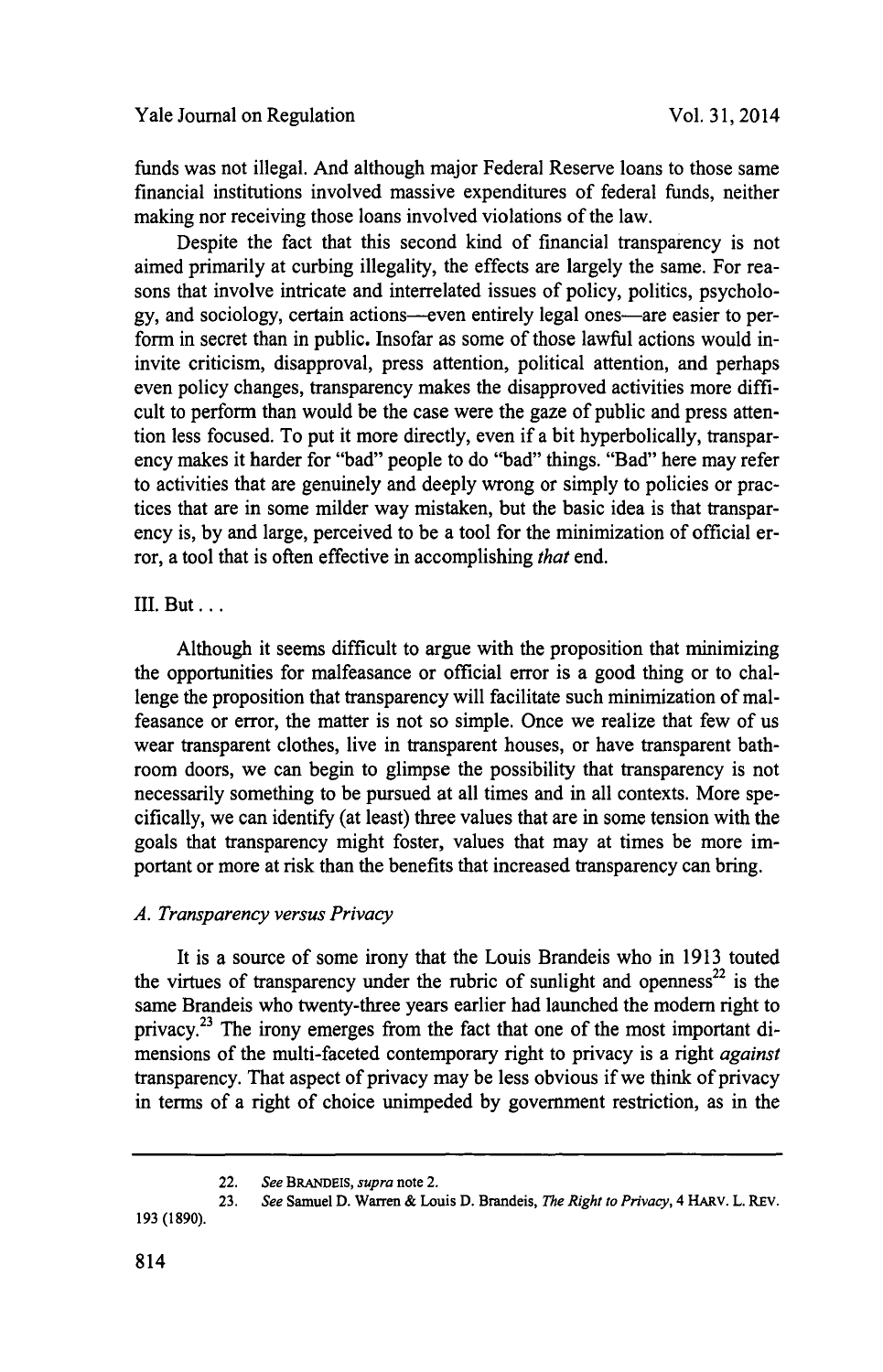funds was not illegal. And although major Federal Reserve loans to those same financial institutions involved massive expenditures of federal funds, neither making nor receiving those loans involved violations of the law.

Despite the fact that this second kind of financial transparency is not aimed primarily at curbing illegality, the effects are largely the same. For reasons that involve intricate and interrelated issues of policy, politics, psychology, and sociology, certain actions—even entirely legal ones—are easier to perform in secret than in public. Insofar as some of those lawful actions would ininvite criticism, disapproval, press attention, political attention, and perhaps even policy changes, transparency makes the disapproved activities more difficult to perform than would be the case were the gaze of public and press attention less focused. To put it more directly, even if a bit hyperbolically, transparency makes it harder for "bad" people to do "bad" things. "Bad" here may refer to activities that are genuinely and deeply wrong or simply to policies or practices that are in some milder way mistaken, but the basic idea is that transparency is, **by** and large, perceived to be a tool for the minimization of official error, a tool that is often effective in accomplishing *that* end.

## III. But **...**

Although it seems difficult to argue with the proposition that minimizing the opportunities for malfeasance or official error is a good thing or to challenge the proposition that transparency will facilitate such minimization of malfeasance or error, the matter is not so simple. Once we realize that few of us wear transparent clothes, live in transparent houses, or have transparent bathroom doors, we can begin to glimpse the possibility that transparency is not necessarily something to be pursued at all times and in all contexts. More specifically, we can identify (at least) three values that are in some tension with the goals that transparency might foster, values that may at times be more important or more at risk than the benefits that increased transparency can bring.

## *A. Transparency versus Privacy*

It is a source of some irony that the Louis Brandeis who in **1913** touted the virtues of transparency under the rubric of sunlight and openness<sup>22</sup> is the same Brandeis who twenty-three years earlier had launched the modern right to privacy.<sup>23</sup> The irony emerges from the fact that one of the most important dimensions of the multi-faceted contemporary right to privacy is a right *against* transparency. That aspect of privacy may be less obvious if we think of privacy in terms of a right of choice unimpeded **by** government restriction, as in the

<sup>22.</sup> **See** *BRANDEIs, supra* note 2.

**<sup>23.</sup> See** Samuel **D.** Warren **&** Louis **D.** Brandeis, **The** *Right to Privacy,* 4 HARv. L. REv. **193 (1890).**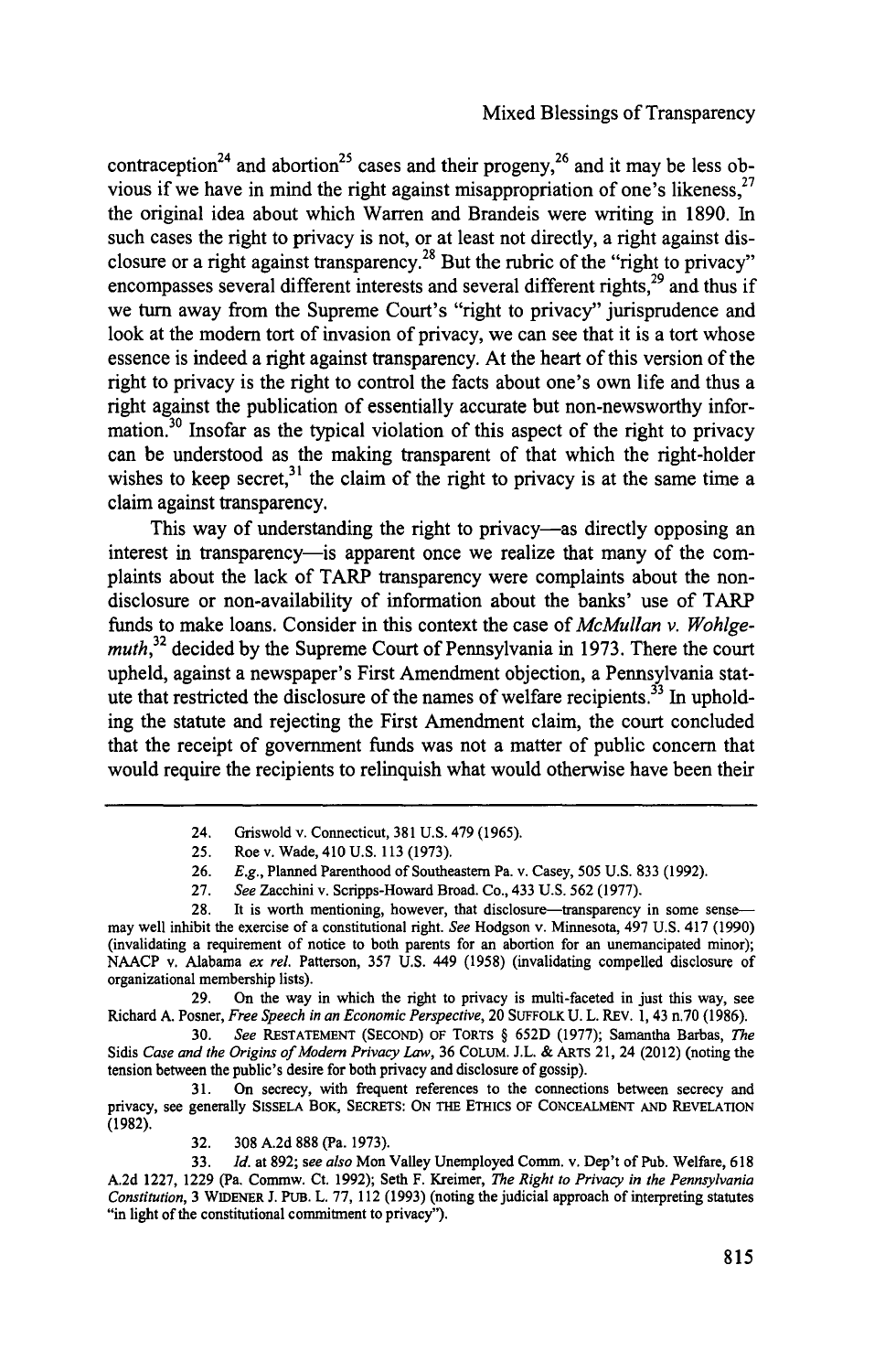contraception<sup>24</sup> and abortion<sup>25</sup> cases and their progeny,<sup>26</sup> and it may be less obvious if we have in mind the right against misappropriation of one's likeness,<sup>27</sup> the original idea about which Warren and Brandeis were writing in **1890.** In such cases the right to privacy is not, or at least not directly, a right against disclosure or a right against transparency. 28 But the rubric of the "right to privacy" encompasses several different interests and several different rights, $^{29}$  and thus if we turn away from the Supreme Court's "right to privacy" jurisprudence and look at the modem tort of invasion of privacy, we can see that it is a tort whose essence is indeed a right against transparency. At the heart of this version of the right to privacy is the right to control the facts about one's own life and thus a right against the publication of essentially accurate but non-newsworthy information.30 Insofar as the typical violation of this aspect of the right to privacy can be understood as the making transparent of that which the right-holder wishes to keep secret,<sup>31</sup> the claim of the right to privacy is at the same time a claim against transparency.

This way of understanding the right to privacy—as directly opposing an interest in transparency—is apparent once we realize that many of the complaints about the lack of TARP transparency were complaints about the nondisclosure or non-availability of information about the banks' use of TARP funds to make loans. Consider in this context the case of *McMullan v. Wohlgemuth,32* decided **by** the Supreme Court of Pennsylvania in **1973.** There the court upheld, against a newspaper's First Amendment objection, a Pennsylvania statute that restricted the disclosure of the names of welfare recipients.<sup>33</sup> In upholding the statute and rejecting the First Amendment claim, the court concluded that the receipt of government funds was not a matter of public concern that would require the recipients to relinquish what would otherwise have been their

**29.** On the way in which the right to privacy is multi-faceted in just this way, see Richard **A.** Posner, *Free Speech in an Economic Perspective,* 20 **SUFFOLK U.** L. REV. **1,** 43 n.70 **(1986).**

**30.** *See* **RESTATEMENT (SECOND)** OF TORTS **§ 652D (1977);** Samantha Barbas, *The* Sidis *Case and the Origins of Modern Privacy Law,* **36** COLuM. **J.L. &** ARTS 21, 24 (2012) (noting the tension between the public's desire for both privacy and disclosure of gossip).

**31.** On secrecy, with frequent references to the connections between secrecy and privacy, see generally **SISSELA** BOK, **SECRETS: ON THE ETHICS OF CONCEALMENT AND** REVELATION **(1982).**

**32. 308 A.2d 888** (Pa. **1973).**

**33.** *Id.* at **892;** *see also* Mon Valley Unemployed Comm. v. Dep't of **Pub.** Welfare, **618 A.2d 1227, 1229** (Pa. Commw. Ct. **1992);** Seth F. Kreimer, *The Right to Privacy in the Pennsylvania Constitution,* **3** WIDENER **J.** PUB. L. **77,** 112 **(1993)** (noting the judicial approach of interpreting statutes "in light of the constitutional commitment to privacy").

<sup>24.</sup> Griswold v. Connecticut, **381 U.S.** 479 **(1965).**

**<sup>25.</sup>** Roe v. Wade, **410 U.S. 113 (1973).**

**<sup>26.</sup>** *E.g.,* Planned Parenthood of Southeastern Pa. v. Casey, **505 U.S. 833 (1992).**

**<sup>27.</sup>** *See* Zacchini v. Scripps-Howard Broad. Co., 433 **U.S. 562 (1977).**

<sup>28.</sup> It is worth mentioning, however, that disclosure-transparency in some sensemay well inhibit the exercise of a constitutional right. *See* Hodgson v. Minnesota, 497 **U.S.** 417 **(1990)** (invalidating a requirement of notice to both parents for an abortion for an unemancipated minor); **NAACP** v. Alabama *ex rel.* Patterson, **357 U.S.** 449 **(1958)** (invalidating compelled disclosure of organizational membership lists).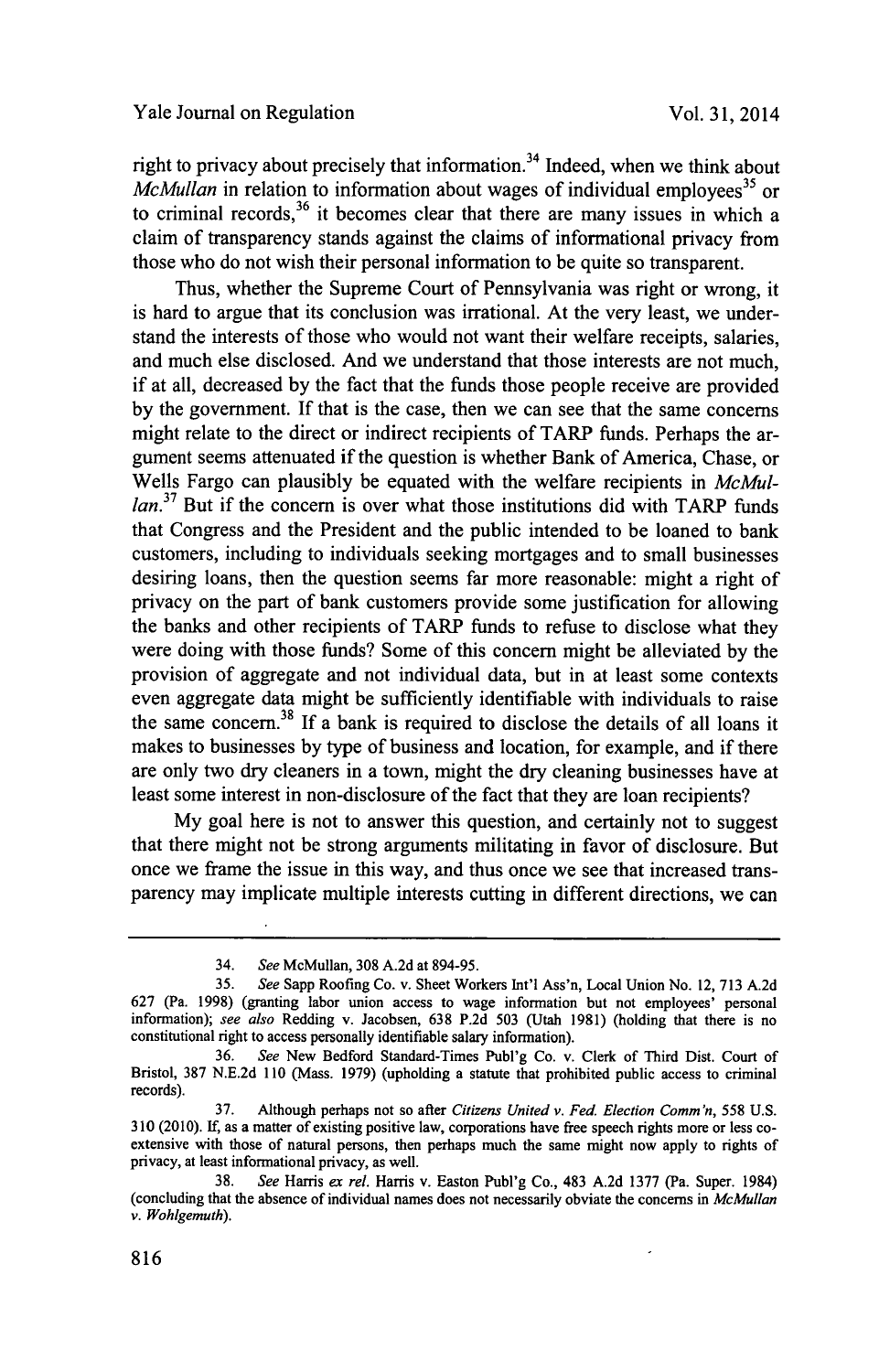right to privacy about precisely that information.<sup>34</sup> Indeed, when we think about *McMullan* in relation to information about wages of individual employees<sup>35</sup> or to criminal records,  $36$  it becomes clear that there are many issues in which a claim of transparency stands against the claims of informational privacy from those who do not wish their personal information to be quite so transparent.

Thus, whether the Supreme Court of Pennsylvania was right or wrong, it is hard to argue that its conclusion was irrational. At the very least, we understand the interests of those who would not want their welfare receipts, salaries, and much else disclosed. And we understand that those interests are not much, if at all, decreased **by** the fact that the funds those people receive are provided **by** the government. **If** that is the case, then we can see that the same concerns might relate to the direct or indirect recipients of TARP funds. Perhaps the argument seems attenuated if the question is whether Bank of America, Chase, or Wells Fargo can plausibly be equated with the welfare recipients in *McMul* $lan<sup>37</sup>$  But if the concern is over what those institutions did with TARP funds that Congress and the President and the public intended to be loaned to bank customers, including to individuals seeking mortgages and to small businesses desiring loans, then the question seems far more reasonable: might a right of privacy on the part of bank customers provide some justification for allowing the banks and other recipients of TARP funds to refuse to disclose what they were doing with those funds? Some of this concern might be alleviated **by** the provision of aggregate and not individual data, but in at least some contexts even aggregate data might be sufficiently identifiable with individuals to raise the same concern.<sup>38</sup> If  $\overline{a}$  bank is required to disclose the details of all loans it makes to businesses **by** type of business and location, for example, and if there are only two dry cleaners in a town, might the dry cleaning businesses have at least some interest in non-disclosure of the fact that they are loan recipients?

**My** goal here is not to answer this question, and certainly not to suggest that there might not be strong arguments militating in favor of disclosure. But once we frame the issue in this way, and thus once we see that increased transparency may implicate multiple interests cutting in different directions, we can

<sup>34.</sup> *See* McMullan, **308 A.2d** at *894-95.*

*<sup>35.</sup> See* Sapp Roofing Co. v. Sheet Workers Int'l Ass'n, Local Union No. 12, **713 A.2d 627** (Pa. **1998)** (granting labor union access to wage information but not employees' personal information); *see also* Redding v. Jacobsen, **638 P.2d 503** (Utah **1981)** (holding that there is no constitutional right to access personally identifiable salary information).

**<sup>36.</sup>** *See* New Bedford Standard-Times Publ'g Co. v. Clerk of Third Dist. Court of Bristol, **387 N.E.2d 110** (Mass. **1979)** (upholding a statute that prohibited public access to criminal records).

**<sup>37.</sup>** Although perhaps not so after *Citizens United v. Fed. Election Comm'n, 558* **U.S. 310 (2010). If,** as a matter of existing positive law, corporations have free speech rights more or less coextensive with those of natural persons, then perhaps much the same might now apply to rights of privacy, at least informational privacy, as well.

**<sup>38.</sup>** *See* Harris *ex rel.* Harris v. Easton Publ'g Co., 483 **A.2d 1377** (Pa. Super. 1984) (concluding that the absence of individual names does not necessarily obviate the concerns in *McMullan v. Wohlgemuth).*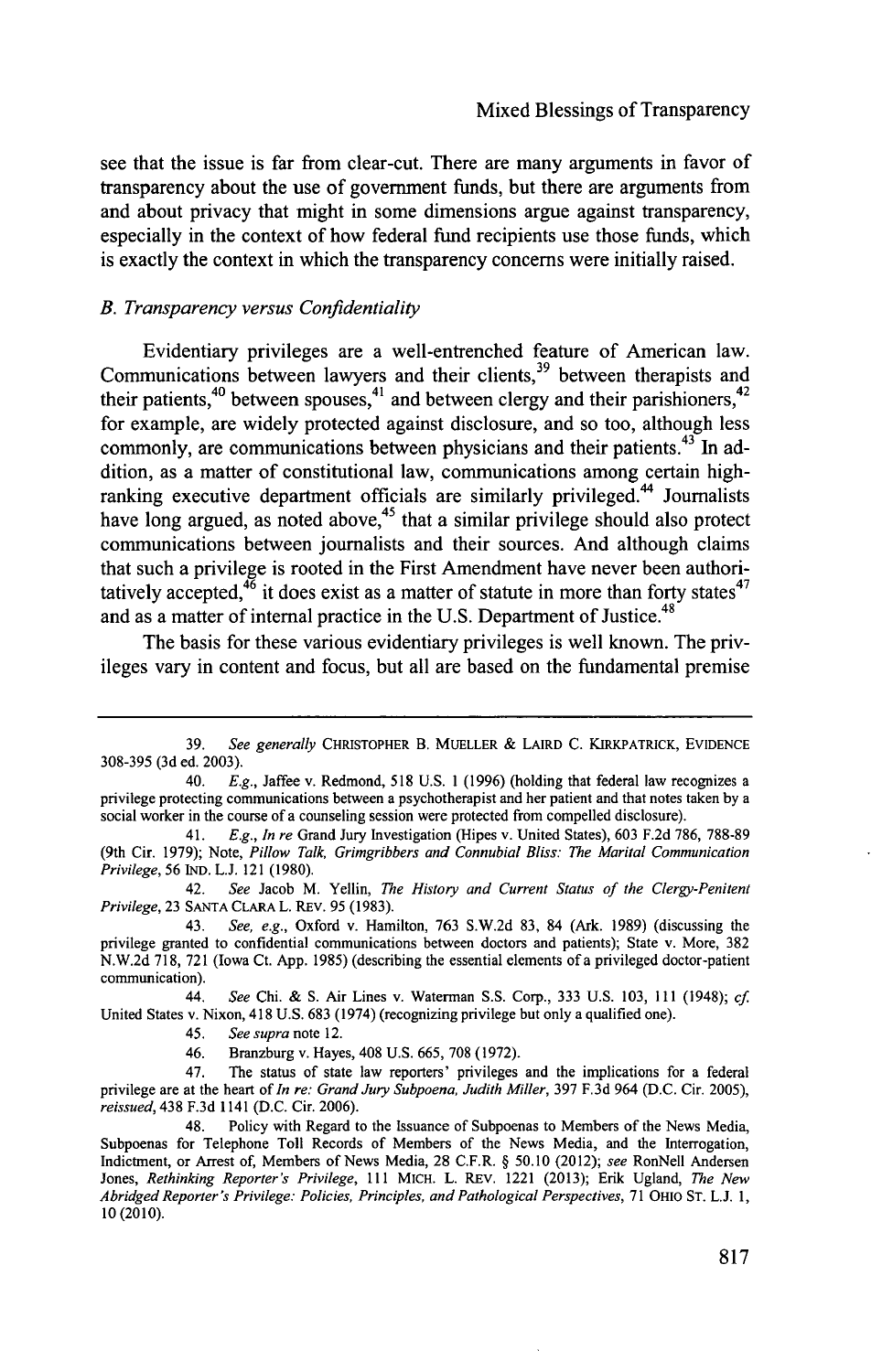see that the issue is far from clear-cut. There are many arguments in favor of transparency about the use of government funds, but there are arguments from and about privacy that might in some dimensions argue against transparency, especially in the context of how federal fund recipients use those funds, which is exactly the context in which the transparency concerns were initially raised.

#### *B. Transparency versus Confidentiality*

Evidentiary privileges are a well-entrenched feature of American law. Communications between lawyers and their clients,<sup>39</sup> between therapists and  $40$  keep  $40$  between spouses, $4^1$  and between clergy and their parishioners, $4^2$ for example, are widely protected against disclosure, and so too, although less commonly, are communications between physicians and their patients.  $43^{\circ}$  In addition, as a matter of constitutional law, communications among certain highranking executive department officials are similarly privileged.<sup>44</sup> Journalists have long argued, as noted above,<sup>45</sup> that a similar privilege should also protect communications between journalists and their sources. And although claims that such a privilege is rooted in the First Amendment have never been authoritatively accepted, $4^{\overline{6}}$  it does exist as a matter of statute in more than forty states<sup>47</sup> and as a matter of internal practice in the U.S. Department of Justice.<sup>48</sup>

The basis for these various evidentiary privileges is well known. The privileges vary in content and focus, but all are based on the fundamental premise

**<sup>39.</sup>** *See generally* **CHRISTOPHER B. MUELLER** *&* **LAIRD C. KIRKPATRICK, EVIDENCE 308-395 (3d** ed. **2003).**

<sup>40.</sup> *E.g.,* Jaffee v. Redmond, **518 U.S. 1 (1996)** (holding that federal law recognizes a privilege protecting communications between a psychotherapist and her patient and that notes taken **by** a social worker in the course of a counseling session were protected from compelled disclosure).

<sup>41.</sup> *E.g., In re* Grand Jury Investigation (Hipes v. United States), **603 F.2d 786, 788-89** (9th Cir. **1979);** Note, *Pillow Talk, Grimgribbers and Connubial Bliss: The Marital Communication Privilege, 56* **IND. L.J.** 121 **(1980).**

<sup>42.</sup> *See* Jacob M. Yellin, *The History and Current Status of the Clergy-Penitent Privilege,* **23 SANTA CLARA L.** REv. **95 (1983).**

<sup>43.</sup> *See, e.g.,* Oxford v. Hamilton, **763 S.W.2d 83,** 84 (Ark. **1989)** (discussing the privilege granted to confidential communications between doctors and patients); State v. More, **382 N.W.2d 718, 721** (Iowa Ct. **App. 1985)** (describing the essential elements of a privileged doctor-patient communication).

<sup>44.</sup> *See* Chi. **& S.** Air Lines v. Waterman **S.S.** Corp., **333 U.S. 103, 111** (1948); *cf* United States v. Nixon, 418 **U.S. 683** (1974) (recognizing privilege but only a qualified one).

*<sup>45.</sup> See supra* note 12.

<sup>46.</sup> Branzburg v. Hayes, 408 **U.S. 665, 708 (1972).**

<sup>47.</sup> The status of state law reporters' privileges and the implications for a federal privilege are at the heart of *In re: Grand Jury Subpoena, Judith Miller,* **397 F.3d** 964 **(D.C.** Cir. **2005),** *reissued,* 438 **F.3d** 1141 **(D.C.** Cir. **2006).**

Policy with Regard to the Issuance of Subpoenas to Members of the News Media, Subpoenas for Telephone Toll Records of Members of the News Media, and the Interrogation, Indictment, or Arrest of, Members of News Media, **28** C.F.R. **§ 50.10** *(2012); see* RonNell Andersen *Jones, Rethinking Reporters Privilege, Ill* MICH. L. REV. 1221 **(2013);** Erik Ugland, *The New Abridged Reporter's Privilege: Policies, Principles, and Pathological Perspectives,* **<sup>71</sup>**OHIO **ST. L.J. 1,**  $10(2010)$ .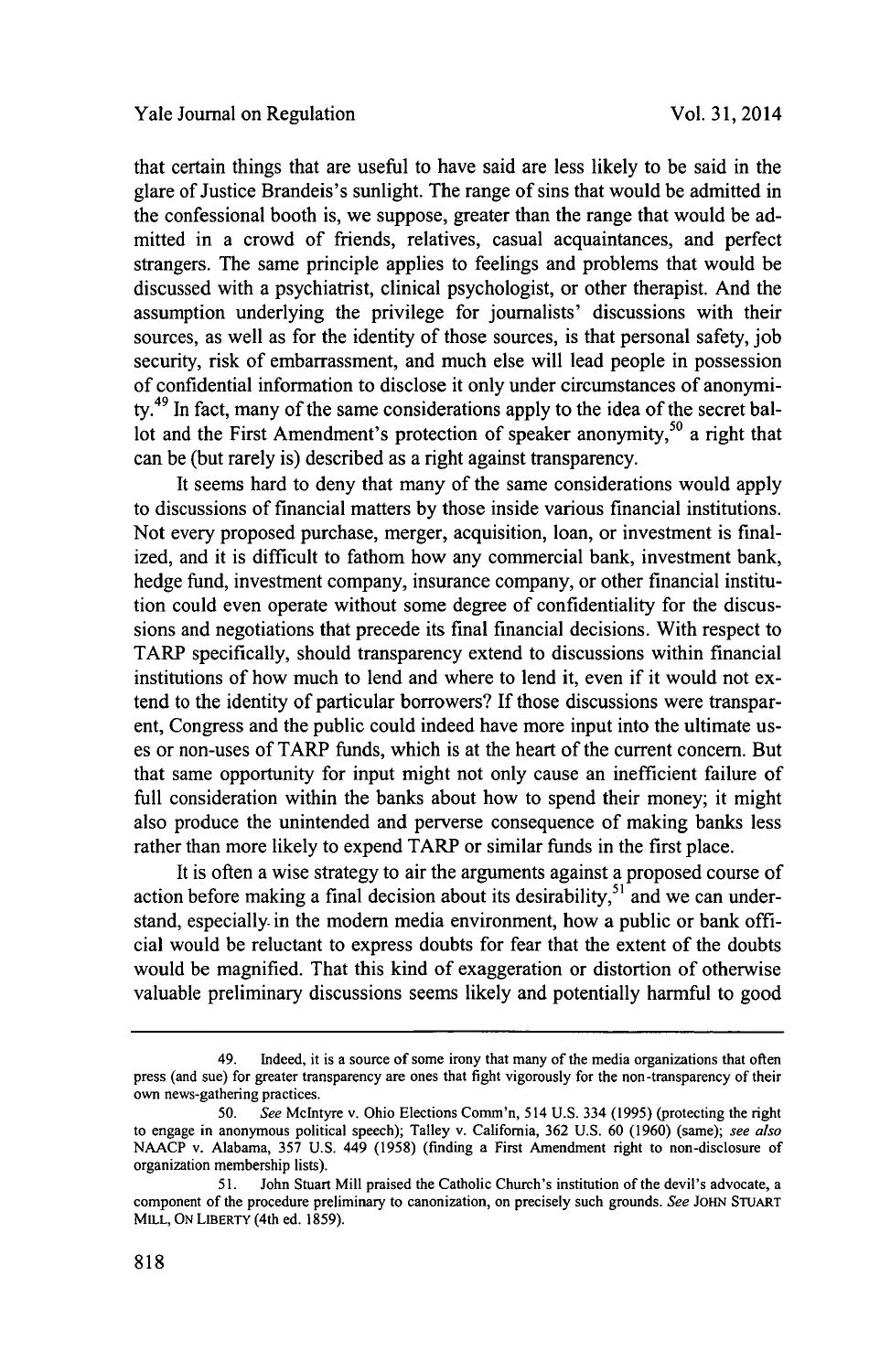that certain things that are useful to have said are less likely to be said in the glare of Justice Brandeis's sunlight. The range of sins that would be admitted in the confessional booth is, we suppose, greater than the range that would be admitted in a crowd of friends, relatives, casual acquaintances, and perfect strangers. The same principle applies to feelings and problems that would be discussed with a psychiatrist, clinical psychologist, or other therapist. And the assumption underlying the privilege for journalists' discussions with their sources, as well as for the identity of those sources, is that personal safety, **job** security, risk of embarrassment, and much else will lead people in possession of confidential information to disclose it only under circumstances of anonymity.<sup>49</sup> In fact, many of the same considerations apply to the idea of the secret ballot and the First Amendment's protection of speaker anonymity,<sup>50</sup> a right that can be (but rarely is) described as a right against transparency.

It seems hard to deny that many of the same considerations would apply to discussions of financial matters **by** those inside various financial institutions. Not every proposed purchase, merger, acquisition, loan, or investment is finalized, and it is difficult to fathom how any commercial bank, investment bank, hedge fund, investment company, insurance company, or other financial institution could even operate without some degree of confidentiality for the discussions and negotiations that precede its final financial decisions. With respect to TARP specifically, should transparency extend to discussions within financial institutions of how much to lend and where to lend it, even if it would not extend to the identity of particular borrowers? **If** those discussions were transparent, Congress and the public could indeed have more input into the ultimate uses or non-uses of TARP funds, which is at the heart of the current concern. But that same opportunity for input might not only cause an inefficient failure of full consideration within the banks about how to spend their money; it might also produce the unintended and perverse consequence of making banks less rather than more likely to expend TARP or similar funds in the first place.

It is often a wise strategy to air the arguments against a proposed course of action before making a final decision about its desirability,  $5<sup>1</sup>$  and we can understand, especially in the modem media environment, how a public or bank official would be reluctant to express doubts for fear that the extent of the doubts would be magnified. That this kind of exaggeration or distortion of otherwise valuable preliminary discussions seems likely and potentially harmful to good

<sup>49.</sup> Indeed, it is a source of some irony that many of the media organizations that often press (and sue) for greater transparency are ones that fight vigorously for the non-transparency of their own news-gathering practices.

**<sup>50.</sup>** *See* McIntyre v. Ohio Elections Comm'n, 514 **U.S.** 334 *(1995)* (protecting the right to engage in anonymous political speech); Talley v. California, **362 U.S. 60 (1960)** (same); *see also* **NAACP** v. Alabama, *357* **U.S.** 449 **(1958)** (finding a First Amendment right to non-disclosure of organization membership lists).

*<sup>51.</sup>* John Stuart Mill praised the Catholic Church's institution of the devil's advocate, a component of the procedure preliminary to canonization, on precisely such grounds. *See* **JOHN STUART** MILL, **ON LIBERTY** (4th ed. **1859).**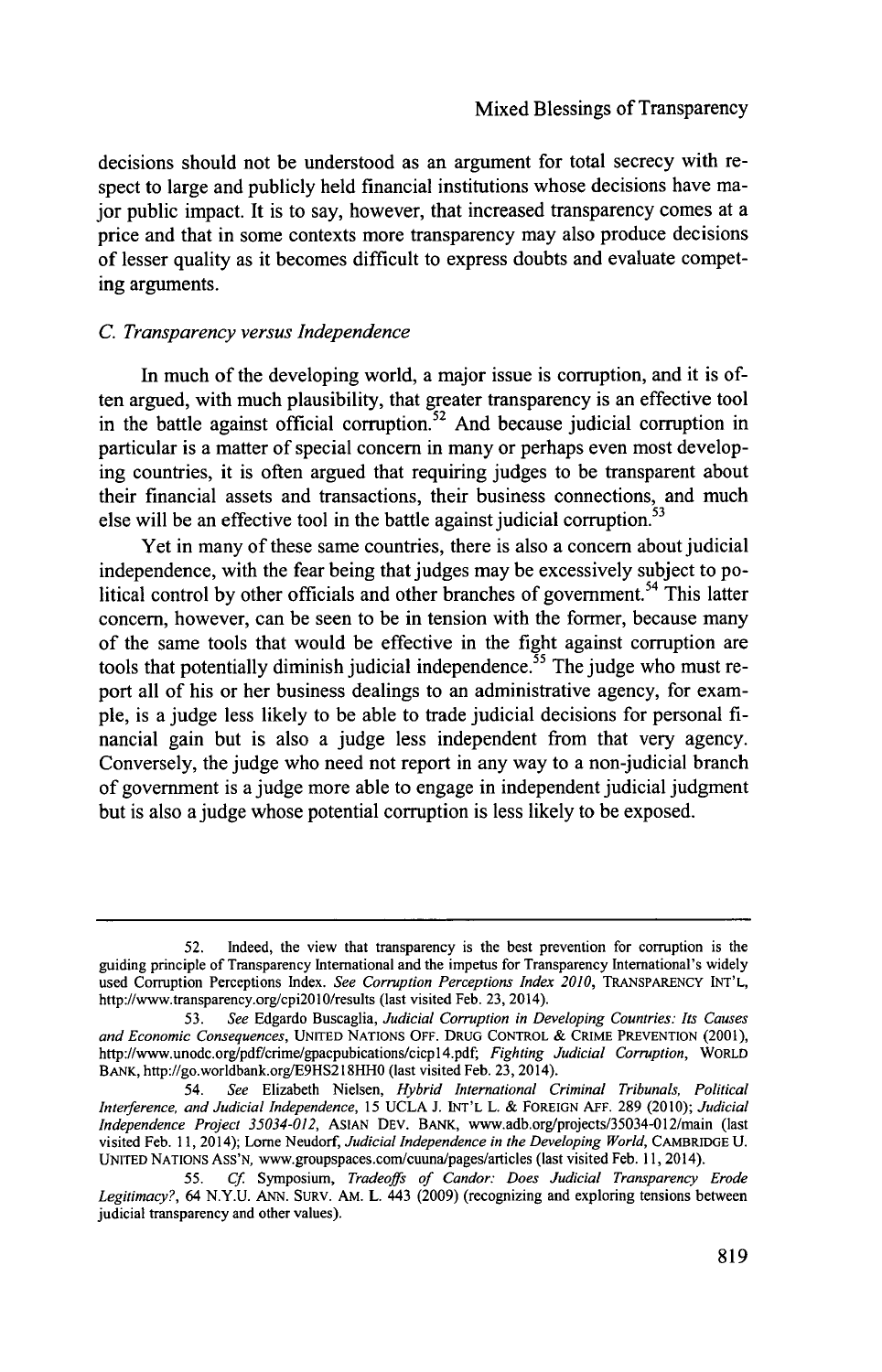decisions should not be understood as an argument for total secrecy with respect to large and publicly held financial institutions whose decisions have major public impact. It is to say, however, that increased transparency comes at a price and that in some contexts more transparency may also produce decisions of lesser quality as it becomes difficult to express doubts and evaluate competing arguments.

### *C. Transparency versus Independence*

In much of the developing world, a major issue is corruption, and it is often argued, with much plausibility, that greater transparency is an effective tool in the battle against official corruption.<sup>52</sup> And because judicial corruption in particular is a matter of special concern in many or perhaps even most developing countries, it is often argued that requiring judges to be transparent about their financial assets and transactions, their business connections, and much else will be an effective tool in the battle against judicial corruption.<sup>53</sup>

Yet in many of these same countries, there is also a concern about judicial independence, with the fear being that judges may be excessively subject to political control by other officials and other branches of government.<sup>54</sup> This latter concern, however, can be seen to be in tension with the former, because many of the same tools that would be effective in the fight against corruption are tools that potentially diminish judicial independence.<sup>55</sup> The judge who must report all of his or her business dealings to an administrative agency, for example, is a judge less likely to be able to trade judicial decisions for personal **fi**nancial gain but is also a judge less independent from that very agency. Conversely, the judge who need not report in any way to a non-judicial branch of government is a judge more able to engage in independent judicial judgment but is also a judge whose potential corruption is less likely to be exposed.

**<sup>52.</sup>** Indeed, the view that transparency is the best prevention for corruption is the guiding principle of Transparency International and the impetus for Transparency International's widely used Corruption Perceptions Index. *See Corruption Perceptions Index 2010,* TRANSPARENCY **INT'L,** http://www.transparency.org/cpi20l0/results (last visited Feb. **23,** 2014).

**<sup>53.</sup>** *See* Edgardo Buscaglia, *Judicial Corruption in Developing Countries: Its Causes and Economic Consequences,* **UNITED** NATIONS OFF. **DRUG** CONTROL **&** CRIME **PREVENTION** (2001), http://www.unodc.org/pdf/crime/gpacpubications/cicpl4.pdf, *Fighting Judicial Corruption, WORLD* BANK, http://go.worldbank.org/E9HS218HHO (last visited Feb. **23,** 2014).

<sup>54.</sup> *See* Elizabeth Nielsen, *Hybrid International Criminal Tribunals, Political Interference, and Judicial Independence, 15* **UCLA J. INT'L** L. **&** FOREIGN **AFF. 289** (2010); *Judicial Independence Project 35034-012,* ASIAN **DEV.** BANK, www.adb.org/projects/35034-012/main (last visited Feb. **11,** 2014); Lorne Neudorf, *Judicial Independence in the Developing World,* CAMBRIDGE **U. UNITED** NATIONS AsS'N, www.groupspaces.com/cuuna/pages/articles (last visited Feb. **11,** 2014).

*<sup>55.</sup> Cf Symposium, Tradeoffs of Candor: Does Judicial Transparency Erode Legitimacy?,* 64 **N.Y.U. ANN.** SURv. AM. L. 443 **(2009)** (recognizing and exploring tensions between judicial transparency and other values).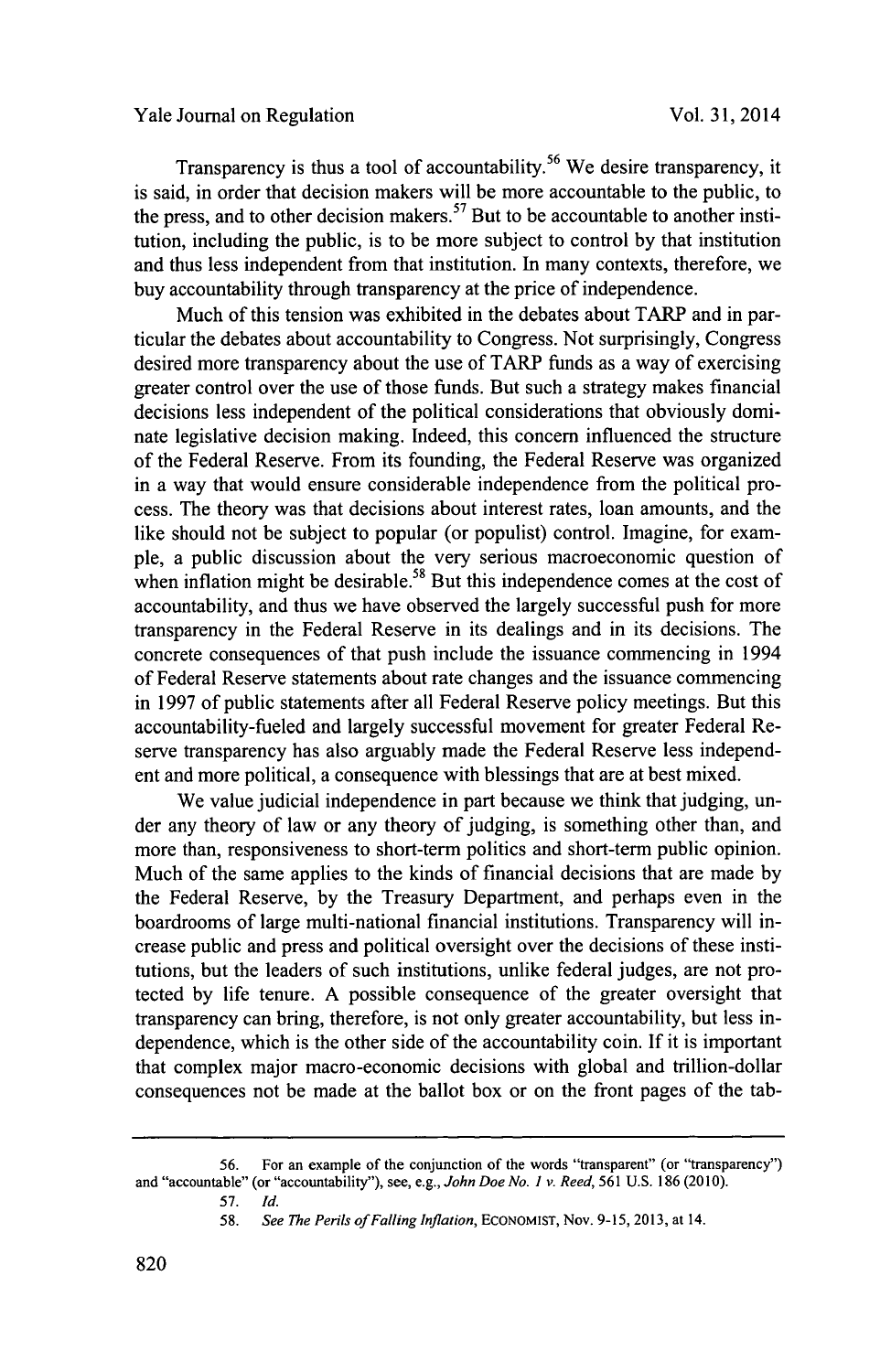Transparency is thus a tool of accountability.<sup>56</sup> We desire transparency, it is said, in order that decision makers will be more accountable to the public, to the press, and to other decision makers.<sup>57</sup> But to be accountable to another institution, including the public, is to be more subject to control **by** that institution and thus less independent from that institution. In many contexts, therefore, we buy accountability through transparency at the price of independence.

Much of this tension was exhibited in the debates about TARP and in particular the debates about accountability to Congress. Not surprisingly, Congress desired more transparency about the use of TARP funds as a way of exercising greater control over the use of those funds. But such a strategy makes financial decisions less independent of the political considerations that obviously dominate legislative decision making. Indeed, this concern influenced the structure of the Federal Reserve. From its founding, the Federal Reserve was organized in a way that would ensure considerable independence from the political process. The theory was that decisions about interest rates, loan amounts, and the like should not be subject to popular (or populist) control. Imagine, for example, a public discussion about the very serious macroeconomic question of when inflation might be desirable.<sup>58</sup> But this independence comes at the cost of accountability, and thus we have observed the largely successful push for more transparency in the Federal Reserve in its dealings and in its decisions. The concrete consequences of that push include the issuance commencing in 1994 of Federal Reserve statements about rate changes and the issuance commencing in **1997** of public statements after all Federal Reserve policy meetings. But this accountability-fueled and largely successful movement for greater Federal Reserve transparency has also arguably made the Federal Reserve less independent and more political, a consequence with blessings that are at best mixed.

We value judicial independence in part because we think that judging, under any theory of law or any theory of judging, is something other than, and more than, responsiveness to short-term politics and short-term public opinion. Much of the same applies to the kinds of financial decisions that are made **by** the Federal Reserve, **by** the Treasury Department, and perhaps even in the boardrooms of large multi-national financial institutions. Transparency will increase public and press and political oversight over the decisions of these institutions, but the leaders of such institutions, unlike federal judges, are not protected **by** life tenure. **A** possible consequence of the greater oversight that transparency can bring, therefore, is not only greater accountability, but less independence, which is the other side of the accountability coin. **If** it is important that complex major macro-economic decisions with global and trillion-dollar consequences not be made at the ballot box or on the front pages of the tab-

**<sup>56.</sup>** For an example of the conjunction of the words "transparent" (or "transparency") and "accountable" (or "accountability"), see, e.g., *John Doe No. I v. Reed,* **561 U.S. 186 (2010).**

**<sup>57.</sup>** *Id.*

*<sup>58.</sup> See The Perils ofFalling Inflation,* **ECONOMIST,** Nov. **9-15, 2013,** at 14.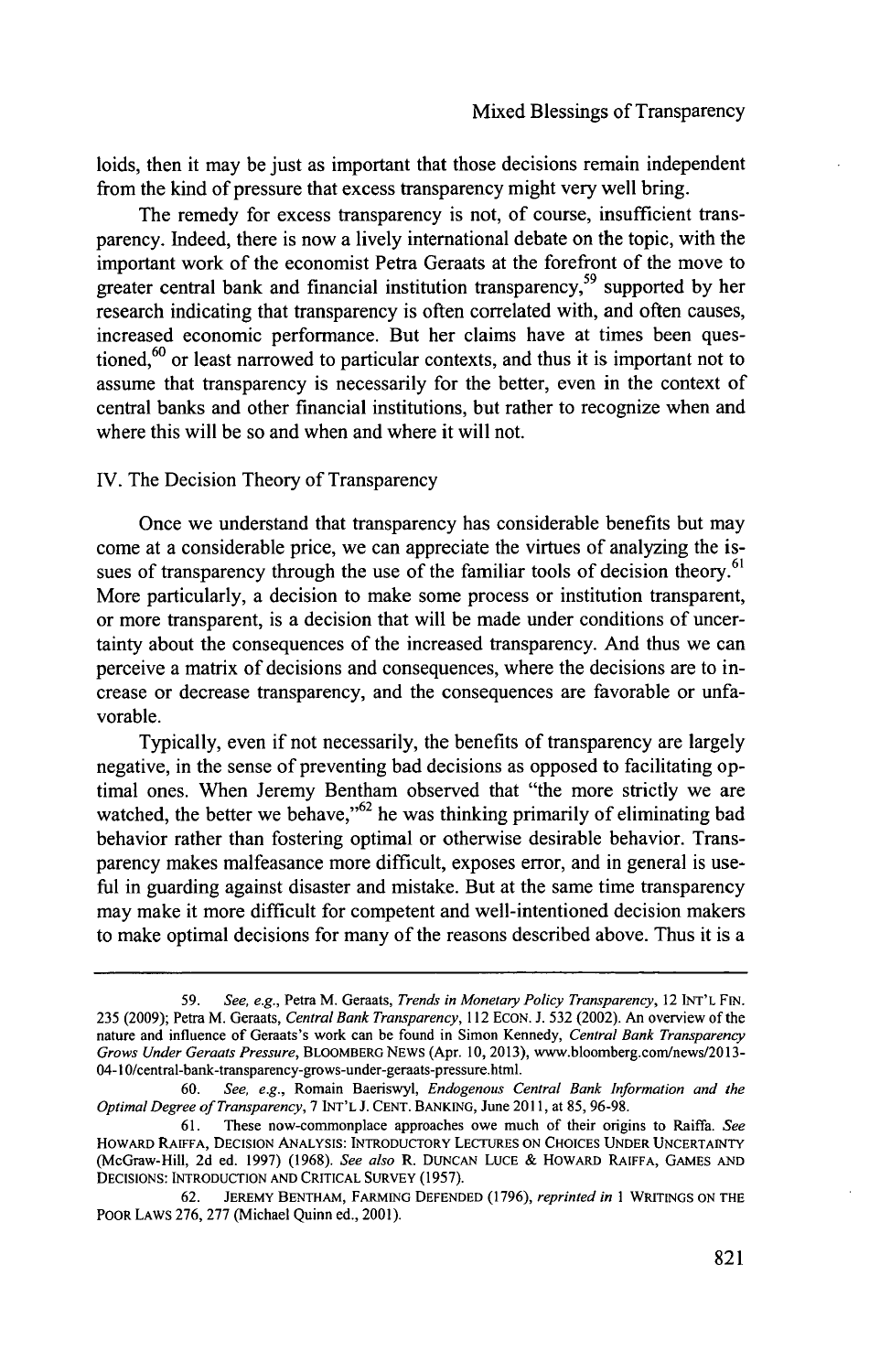loids, then it may be just as important that those decisions remain independent from the kind of pressure that excess transparency might very well bring.

The remedy for excess transparency is not, of course, insufficient transparency. Indeed, there is now a lively international debate on the topic, with the important work of the economist Petra Geraats at the forefront of the move to greater central bank and financial institution transparency,59 supported **by** her research indicating that transparency is often correlated with, and often causes, increased economic performance. But her claims have at times been questioned,<sup>60</sup> or least narrowed to particular contexts, and thus it is important not to assume that transparency is necessarily for the better, even in the context of central banks and other financial institutions, but rather to recognize when and where this will be so and when and where it will not.

**TV.** The Decision Theory of Transparency

Once we understand that transparency has considerable benefits but may come at a considerable price, we can appreciate the virtues of analyzing the issues of transparency through the use of the familiar tools of decision theory.<sup>61</sup> More particularly, a decision to make some process or institution transparent, or more transparent, is a decision that will be made under conditions of uncertainty about the consequences of the increased transparency. And thus we can perceive a matrix of decisions and consequences, where the decisions are to increase or decrease transparency, and the consequences are favorable or unfavorable.

Typically, even if not necessarily, the benefits of transparency are largely negative, in the sense of preventing bad decisions as opposed to facilitating optimal ones. When Jeremy Bentham observed that "the more strictly we are watched, the better we behave," $62$  he was thinking primarily of eliminating bad behavior rather than fostering optimal or otherwise desirable behavior. Transparency makes malfeasance more difficult, exposes error, and in general is useful in guarding against disaster and mistake. But at the same time transparency may make it more difficult for competent and well-intentioned decision makers to make optimal decisions for many of the reasons described above. Thus it is a

*<sup>59.</sup>* See, e.g., Petra M. Geraats, *Trends in Monetary Policy Transparency,* 12 **INT'L FIN. 235 (2009);** Petra M. Geraats, Central Bank *Transparency, 112* **ECON. J. 532** (2002). An overview of the nature and influence of Geraats's work can be found in Simon Kennedy, *Central Bank Transparency Grows Under Geraats Pressure,* **BLOOMBERG NEWS** (Apr. **10, 2013),** www.bloomberg.com/news/2013- 04-1 0/central-bank-transparency-grows-under-geraats-pressure.html.

**<sup>60.</sup>** *See, e.g.,* Romain Baeriswyl, *Endogenous Central Bank Information and the Optimal Degree of Transparency, 7* **INT'L J. CENT. BANKING,** June **2011,** at *85,* **96-98.**

**<sup>61.</sup>** These now-commonplace approaches owe much of their origins to Raiffa. *See* **HOWARD RAIFFA, DECISION ANALYSIS: INTRODUCTORY LECTURES ON CHOICES UNDER UNCERTAINTY** (McGraw-Hill, **2d** ed. **1997) (1968).** *See also* **R. DUNCAN LUCE & HOWARD RAIFFA, GAMES AND DECISIONS: INTRODUCTION AND CRITICAL SURVEY (1957).**

**<sup>62.</sup> JEREMY BENTHAM, FARMING DEFENDED (1796),** *reprinted in* **I WRITINGS ON THE POOR LAWS 276, 277** (Michael Quinn ed., **2001).**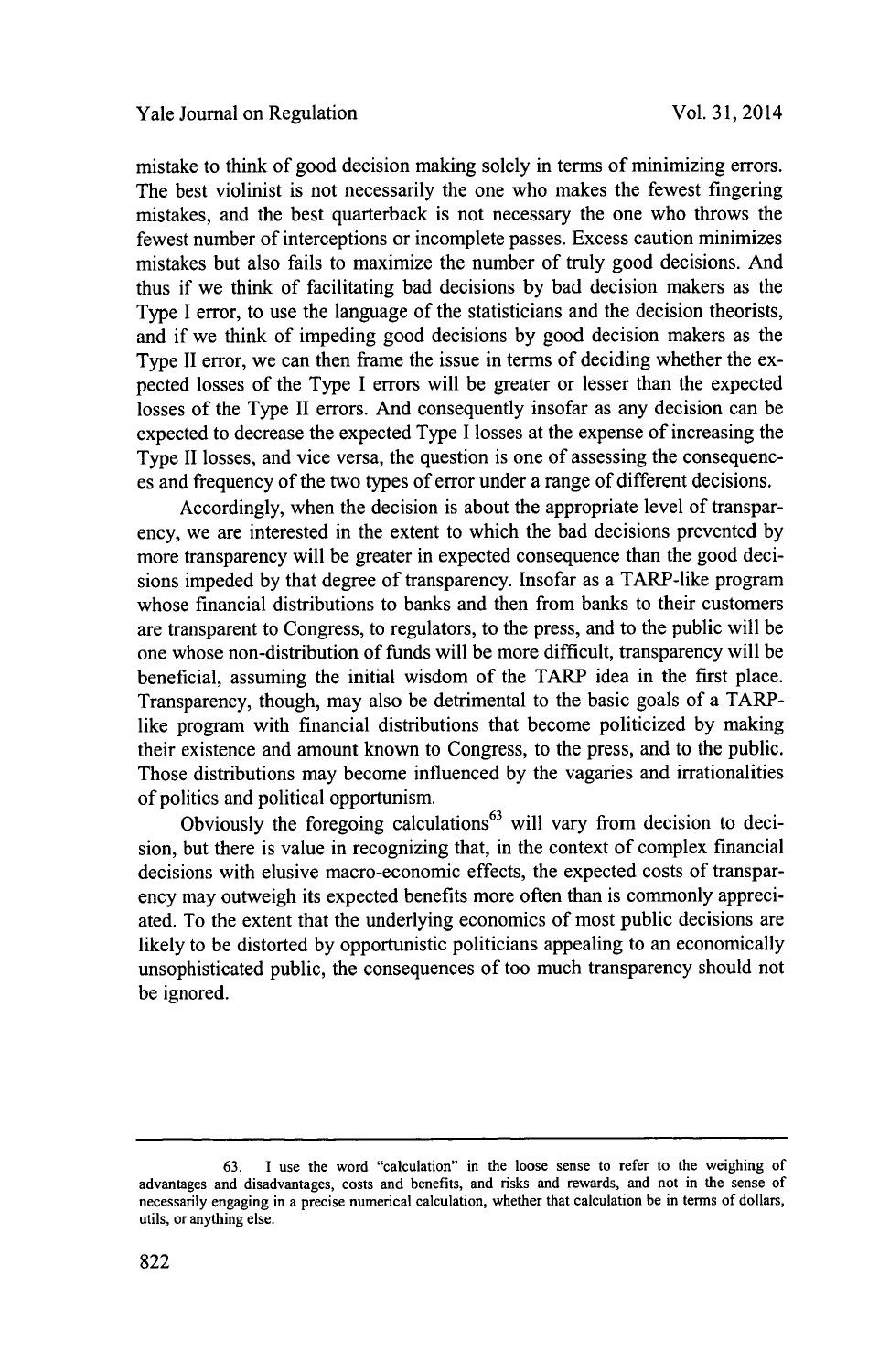mistake to think of good decision making solely in terms of minimizing errors. The best violinist is not necessarily the one who makes the fewest fingering mistakes, and the best quarterback is not necessary the one who throws the fewest number of interceptions or incomplete passes. Excess caution minimizes mistakes but also fails to maximize the number of truly good decisions. And thus if we think of facilitating bad decisions **by** bad decision makers as the Type **I** error, to use the language of the statisticians and the decision theorists, and if we think of impeding good decisions **by** good decision makers as the Type II error, we can then frame the issue in terms of deciding whether the expected losses of the Type **I** errors will be greater or lesser than the expected losses of the Type II errors. And consequently insofar as any decision can be expected to decrease the expected Type **I** losses at the expense of increasing the Type II losses, and vice versa, the question is one of assessing the consequences and frequency of the two types of error under a range of different decisions.

Accordingly, when the decision is about the appropriate level of transparency, we are interested in the extent to which the bad decisions prevented **by** more transparency will be greater in expected consequence than the good decisions impeded **by** that degree of transparency. Insofar as a TARP-like program whose financial distributions to banks and then from banks to their customers are transparent to Congress, to regulators, to the press, and to the public will be one whose non-distribution of funds will be more difficult, transparency will be beneficial, assuming the initial wisdom of the TARP idea in the first place. Transparency, though, may also be detrimental to the basic goals of a TARPlike program with financial distributions that become politicized **by** making their existence and amount known to Congress, to the press, and to the public. Those distributions may become influenced **by** the vagaries and irrationalities of politics and political opportunism.

Obviously the foregoing calculations<sup>63</sup> will vary from decision to decision, but there is value in recognizing that, in the context of complex financial decisions with elusive macro-economic effects, the expected costs of transparency may outweigh its expected benefits more often than is commonly appreciated. To the extent that the underlying economics of most public decisions are likely to be distorted **by** opportunistic politicians appealing to an economically unsophisticated public, the consequences of too much transparency should not be ignored.

**<sup>63.</sup> I use the word "calculation" in the loose sense to refer to the weighing of advantages and disadvantages, costs and benefits, and risks and rewards, and not in the sense of necessarily engaging in a precise numerical calculation, whether that calculation be in terms of dollars, utils, or anything else.**